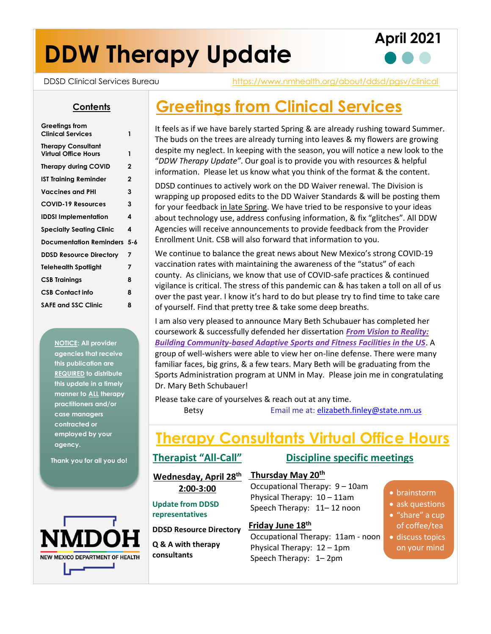# **DDW Therapy Update**





DDSD Clinical Services Bureau <https://www.nmhealth.org/about/ddsd/pgsv/clinical>

#### **Contents**

| Greetings from<br><b>Clinical Services</b>               | 1           |
|----------------------------------------------------------|-------------|
| <b>Therapy Consultant</b><br><b>Virtual Office Hours</b> | 1           |
| <b>Therapy during COVID</b>                              | $\mathbf 2$ |
| IST Training Reminder                                    | $\mathbf 2$ |
| Vaccines and PHI                                         | 3           |
| <b>COVID-19 Resources</b>                                | 3           |
| <b>IDDSI Implementation</b>                              | 4           |
| <b>Specialty Seating Clinic</b>                          | 4           |
| <b>Documentation Reminders</b>                           | $5 - 6$     |
| <b>DDSD Resource Directory</b>                           | 7           |
| Telehealth Spotlight                                     | 7           |
| <b>CSB Trainings</b>                                     | 8           |
| <b>CSB Contact info</b>                                  | 8           |
| <b>SAFE and SSC Clinic</b>                               | 8           |
|                                                          |             |

**NOTICE: All provider agencies that receive this publication are REQUIRED to distribute this update in a timely manner to ALL therapy practitioners and/or case managers contracted or employed by your agency.**

**Thank you for all you do!**



### **Greetings from Clinical Services**

It feels as if we have barely started Spring & are already rushing toward Summer. The buds on the trees are already turning into leaves & my flowers are growing despite my neglect. In keeping with the season, you will notice a new look to the "*DDW Therapy Update"*. Our goal is to provide you with resources & helpful information. Please let us know what you think of the format & the content.

DDSD continues to actively work on the DD Waiver renewal. The Division is wrapping up proposed edits to the DD Waiver Standards & will be posting them for your feedback in late Spring. We have tried to be responsive to your ideas about technology use, address confusing information, & fix "glitches". All DDW Agencies will receive announcements to provide feedback from the Provider Enrollment Unit. CSB will also forward that information to you.

We continue to balance the great news about New Mexico's strong COVID-19 vaccination rates with maintaining the awareness of the "status" of each county. As clinicians, we know that use of COVID-safe practices & continued vigilance is critical. The stress of this pandemic can & has taken a toll on all of us over the past year. I know it's hard to do but please try to find time to take care of yourself. Find that pretty tree & take some deep breaths.

I am also very pleased to announce Mary Beth Schubauer has completed her coursework & successfully defended her dissertation *From Vision to Reality: Building Community-based Adaptive Sports and Fitness Facilities in the US*. A group of well-wishers were able to view her on-line defense. There were many familiar faces, big grins, & a few tears. Mary Beth will be graduating from the Sports Administration program at UNM in May. Please join me in congratulating Dr. Mary Beth Schubauer!

Please take care of yourselves & reach out at any time.

Betsy Email me at[: elizabeth.finley@state.nm.us](mailto:elizabeth.finley@state.nm.us)

### **Therapy Consultants Virtual Office Hours**

#### **Therapist "All-Call"**

**Wednesday, April 28th 2:00-3:00**

• **Update from DDSD** 

#### **representatives**

• **DDSD Resource Directory**

• **Q & A with therapy consultants**

#### **Discipline specific meetings**

#### **Thursday May 20th**

Occupational Therapy: 9 – 10am Physical Therapy: 10 – 11am Speech Therapy: 11– 12 noon

#### **Friday June 18th**

Occupational Therapy: 11am - noon Physical Therapy: 12 – 1pm Speech Therapy: 1– 2pm

- brainstorm
- ask questions
- "share" a cup of coffee/tea
- discuss topics on your mind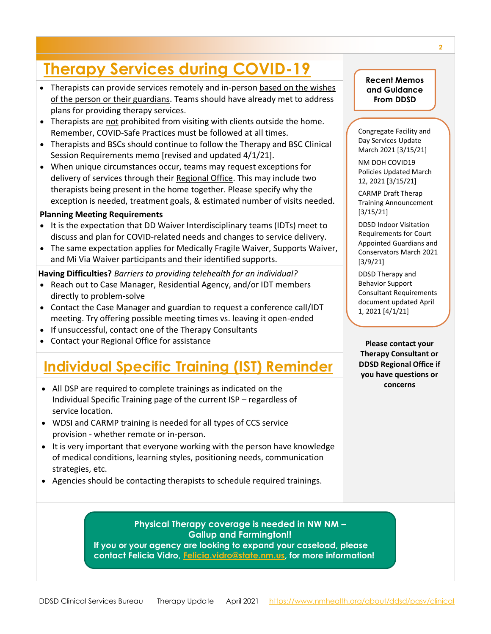## **Therapy Services during COVID-19**

- Therapists can provide services remotely and in-person based on the wishes of the person or their guardians. Teams should have already met to address plans for providing therapy services.
- Therapists are not prohibited from visiting with clients outside the home. Remember, COVID-Safe Practices must be followed at all times.
- Therapists and BSCs should continue to follow the Therapy and BSC Clinical Session Requirements memo [revised and updated 4/1/21].
- When unique circumstances occur, teams may request exceptions for delivery of services through their Regional Office. This may include two therapists being present in the home together. Please specify why the exception is needed, treatment goals, & estimated number of visits needed.

#### **Planning Meeting Requirements**

- It is the expectation that DD Waiver Interdisciplinary teams (IDTs) meet to discuss and plan for COVID-related needs and changes to service delivery.
- The same expectation applies for Medically Fragile Waiver, Supports Waiver, and Mi Via Waiver participants and their identified supports.

**Having Difficulties?** *Barriers to providing telehealth for an individual?*

- Reach out to Case Manager, Residential Agency, and/or IDT members directly to problem-solve
- Contact the Case Manager and guardian to request a conference call/IDT meeting. Try offering possible meeting times vs. leaving it open-ended
- If unsuccessful, contact one of the Therapy Consultants
- Contact your Regional Office for assistance

### **Individual Specific Training (IST) Reminder**

- All DSP are required to complete trainings as indicated on the Individual Specific Training page of the current ISP – regardless of service location.
- WDSI and CARMP training is needed for all types of CCS service provision - whether remote or in-person.
- It is very important that everyone working with the person have knowledge of medical conditions, learning styles, positioning needs, communication strategies, etc.
- Agencies should be contacting therapists to schedule required trainings.

**Recent Memos and Guidance From DDSD**

Congregate Facility and Day Services Update March 2021 [3/15/21]

NM DOH COVID19 Policies Updated March 12, 2021 [3/15/21]

CARMP Draft Therap Training Announcement [3/15/21]

DDSD Indoor Visitation Requirements for Court Appointed Guardians and Conservators March 2021 [3/9/21]

DDSD Therapy and Behavior Support Consultant Requirements document updated April 1, 2021 [4/1/21]

**Please contact your Therapy Consultant or DDSD Regional Office if you have questions or concerns**

**Physical Therapy coverage is needed in NW NM – Gallup and Farmington!! If you or your agency are looking to expand your caseload, please contact Felicia Vidro, [Felicia.vidro@state.nm.us,](mailto:Felicia.vidro@state.nm.us) for more information!**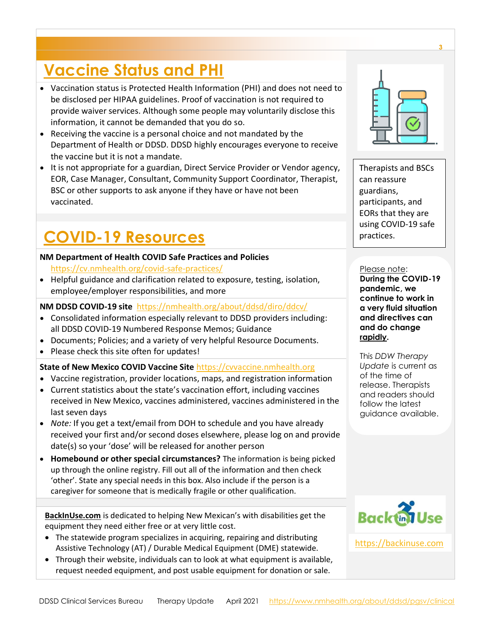## **Vaccine Status and PHI**

- Vaccination status is Protected Health Information (PHI) and does not need to be disclosed per HIPAA guidelines. Proof of vaccination is not required to provide waiver services. Although some people may voluntarily disclose this information, it cannot be demanded that you do so.
- Receiving the vaccine is a personal choice and not mandated by the Department of Health or DDSD. DDSD highly encourages everyone to receive the vaccine but it is not a mandate.
- It is not appropriate for a guardian, Direct Service Provider or Vendor agency, EOR, Case Manager, Consultant, Community Support Coordinator, Therapist, BSC or other supports to ask anyone if they have or have not been vaccinated.

## **COVID-19 Resources**

#### **NM Department of Health COVID Safe Practices and Policies**

<https://cv.nmhealth.org/covid-safe-practices/>

• Helpful guidance and clarification related to exposure, testing, isolation, employee/employer responsibilities, and more

#### **NM DDSD COVID-19 site** <https://nmhealth.org/about/ddsd/diro/ddcv/>

- Consolidated information especially relevant to DDSD providers including: all DDSD COVID-19 Numbered Response Memos; Guidance
- Documents; Policies; and a variety of very helpful Resource Documents.
- Please check this site often for updates!

#### **State of New Mexico COVID Vaccine Site** [https://cvvaccine.nmhealth.org](https://cvvaccine.nmhealth.org/)

- Vaccine registration, provider locations, maps, and registration information
- Current statistics about the state's vaccination effort, including vaccines received in New Mexico, vaccines administered, vaccines administered in the last seven days
- *Note:* If you get a text/email from DOH to schedule and you have already received your first and/or second doses elsewhere, please log on and provide date(s) so your 'dose' will be released for another person
- **Homebound or other special circumstances?** The information is being picked up through the online registry. Fill out all of the information and then check 'other'. State any special needs in this box. Also include if the person is a caregiver for someone that is medically fragile or other qualification.

**BackInUse.com** is dedicated to helping New Mexican's with disabilities get the equipment they need either free or at very little cost.

- The statewide program specializes in acquiring, repairing and distributing Assistive Technology (AT) / Durable Medical Equipment (DME) statewide.
- Through their website, individuals can to look at what equipment is available, request needed equipment, and post usable equipment for donation or sale.



Therapists and BSCs can reassure guardians, participants, and EORs that they are using COVID-19 safe practices.

#### Please note:

**During the COVID-19 pandemic, we continue to work in a very fluid situation and directives can and do change rapidly.** 

This *DDW Therapy Update* is current as of the time of release. Therapists and readers should follow the latest guidance available.



[https://backinuse.com](https://backinuse.com/)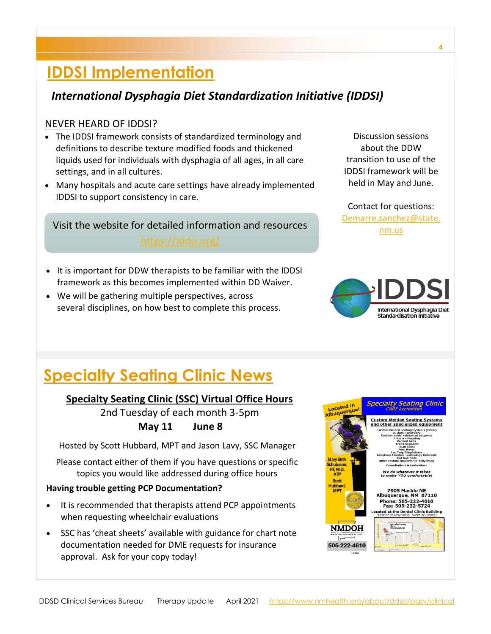### **IDDSI Implementation**

### *International Dysphagia Diet Standardization Initiative (IDDSI)*

#### NEVER HEARD OF IDDSI?

- The IDDSI framework consists of standardized terminology and definitions to describe texture modified foods and thickened liquids used for individuals with dysphagia of all ages, in all care settings, and in all cultures.
- Many hospitals and acute care settings have already implemented IDDSI to support consistency in care.

Visit the website for detailed information and resources **Example 2016** [nm.us](mailto:Demarre.sanchez@state.nm.us)

- It is important for DDW therapists to be familiar with the IDDSI framework as this becomes implemented within DD Waiver.
- We will be gathering multiple perspectives, across several disciplines, on how best to complete this process.

Discussion sessions about the DDW transition to use of the IDDSI framework will be held in May and June.

Contact for questions: [Demarre.sanchez@state.](mailto:Demarre.sanchez@state.nm.us)



## **Specialty Seating Clinic News**

#### **Specialty Seating Clinic (SSC) Virtual Office Hours**

2nd Tuesday of each month 3-5pm **May 11 June 8**

Hosted by Scott Hubbard, MPT and Jason Lavy, SSC Manager

Please contact either of them if you have questions or specific topics you would like addressed during office hours

#### **Having trouble getting PCP Documentation?**

- It is recommended that therapists attend PCP appointments when requesting wheelchair evaluations
- SSC has 'cheat sheets' available with guidance for chart note documentation needed for DME requests for insurance approval. Ask for your copy today!

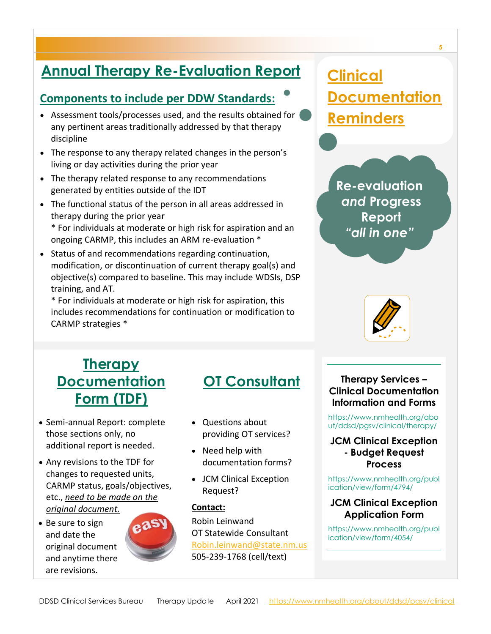### **Annual Therapy Re-Evaluation Report**

### **Components to include per DDW Standards:**

- Assessment tools/processes used, and the results obtained for ( any pertinent areas traditionally addressed by that therapy discipline
- The response to any therapy related changes in the person's living or day activities during the prior year
- The therapy related response to any recommendations generated by entities outside of the IDT
- The functional status of the person in all areas addressed in therapy during the prior year \* For individuals at moderate or high risk for aspiration and an
	- ongoing CARMP, this includes an ARM re-evaluation \*
- Status of and recommendations regarding continuation, modification, or discontinuation of current therapy goal(s) and objective(s) compared to baseline. This may include WDSIs, DSP training, and AT.

\* For individuals at moderate or high risk for aspiration, this includes recommendations for continuation or modification to CARMP strategies \*

## **Clinical Documentation Reminders**

**Re-evaluation**  *and* **Progress Report**  *"all in one"*



### **Therapy Documentation Form (TDF)**

- Semi-annual Report: complete those sections only, no additional report is needed.
- Any revisions to the TDF for changes to requested units, CARMP status, goals/objectives, etc., *need to be made on the original document.*
- Be sure to sign and date the original document and anytime there are revisions.



### **OT Consultant**

- Questions about providing OT services?
- Need help with documentation forms?
- JCM Clinical Exception Request?

#### **Contact:**

Robin Leinwand OT Statewide Consultant [Robin.leinwand@state.nm.us](mailto:Robin.leinwand@state.nm.us) 505-239-1768 (cell/text)

#### **Therapy Services – Clinical Documentation Information and Forms**

[https://www.nmhealth.org/abo](https://www.nmhealth.org/about/ddsd/pgsv/clinical/therapy/) [ut/ddsd/pgsv/clinical/therapy/](https://www.nmhealth.org/about/ddsd/pgsv/clinical/therapy/) 

#### **JCM Clinical Exception - Budget Request Process**

[https://www.nmhealth.org/publ](https://www.nmhealth.org/publication/view/form/4794/) [ication/view/form/4794/](https://www.nmhealth.org/publication/view/form/4794/)

#### **JCM Clinical Exception Application Form**

[https://www.nmhealth.org/publ](https://www.nmhealth.org/publication/view/form/4054/) [ication/view/form/4054/](https://www.nmhealth.org/publication/view/form/4054/)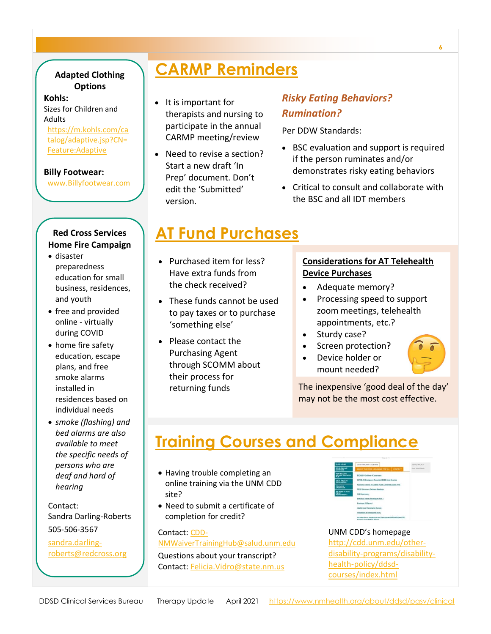#### **Adapted Clothing Options**

#### **Kohls:**

Sizes for Children and Adults

[https://m.kohls.com/ca](https://m.kohls.com/catalog/adaptive.jsp?CN=Feature:Adaptive) [talog/adaptive.jsp?CN=](https://m.kohls.com/catalog/adaptive.jsp?CN=Feature:Adaptive) [Feature:Adaptive](https://m.kohls.com/catalog/adaptive.jsp?CN=Feature:Adaptive)

#### **Billy Footwear:**

[www.Billyfootwear.com](http://www.billyfootwear.com/)

#### **Red Cross Services Home Fire Campaign**

- disaster preparedness education for small business, residences, and youth
- free and provided online - virtually during COVID
- home fire safety education, escape plans, and free smoke alarms installed in residences based on individual needs
- *smoke (flashing) and bed alarms are also available to meet the specific needs of persons who are deaf and hard of hearing*

Contact: Sandra Darling-Roberts 505-506-3567

[sandra.darling](mailto:sandra.darling-roberts@redcross.org)[roberts@redcross.org](mailto:sandra.darling-roberts@redcross.org)

### **CARMP Reminders**

- It is important for therapists and nursing to participate in the annual CARMP meeting/review
- Need to revise a section? Start a new draft 'In Prep' document. Don't edit the 'Submitted' version.

#### *Risky Eating Behaviors? Rumination?*

Per DDW Standards:

- BSC evaluation and support is required if the person ruminates and/or demonstrates risky eating behaviors
- Critical to consult and collaborate with the BSC and all IDT members

### **AT Fund Purchases**

- Purchased item for less? Have extra funds from the check received?
- These funds cannot be used to pay taxes or to purchase 'something else'
- Please contact the Purchasing Agent through SCOMM about their process for returning funds

#### **Considerations for AT Telehealth Device Purchases**

- Adequate memory?
- Processing speed to support zoom meetings, telehealth appointments, etc.?
- Sturdy case?
- Screen protection?
- Device holder or mount needed?

The inexpensive 'good deal of the day' may not be the most cost effective.

### **Training Courses and Compliance**

- Having trouble completing an online training via the UNM CDD site?
- Need to submit a certificate of completion for credit?

#### Contact: [CDD-](mailto:CDD-NMWaiverTrainingHub@salud.unm.edu)

[NMWaiverTrainingHub@salud.unm.edu](mailto:CDD-NMWaiverTrainingHub@salud.unm.edu)

Questions about your transcript? Contact: [Felicia.Vidro@state.nm.us](mailto:Felicia.Vidro@state.nm.us)



#### UNM CDD's homepage

[http://cdd.unm.edu/other](http://cdd.unm.edu/other-disability-programs/disability-health-policy/ddsd-courses/index.html)[disability-programs/disability](http://cdd.unm.edu/other-disability-programs/disability-health-policy/ddsd-courses/index.html)[health-policy/ddsd](http://cdd.unm.edu/other-disability-programs/disability-health-policy/ddsd-courses/index.html)[courses/index.html](http://cdd.unm.edu/other-disability-programs/disability-health-policy/ddsd-courses/index.html)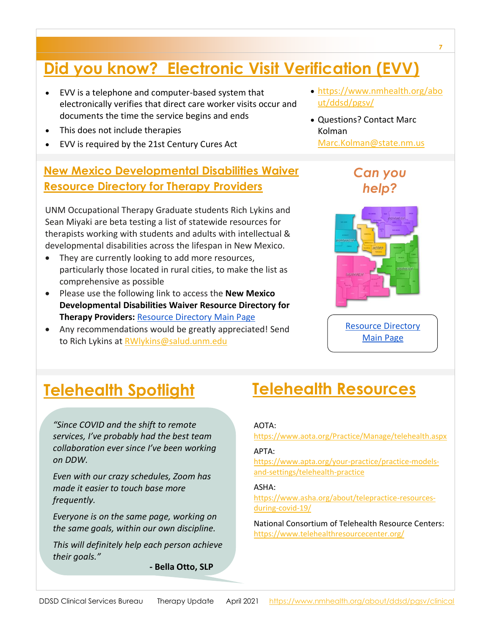## **Did you know? Electronic Visit Verification (EVV)**

- EVV is a telephone and computer-based system that electronically verifies that direct care worker visits occur and documents the time the service begins and ends
- This does not include therapies
- EVV is required by the 21st Century Cures Act

### **New Mexico Developmental Disabilities Waiver Resource Directory for Therapy Providers**

UNM Occupational Therapy Graduate students Rich Lykins and Sean Miyaki are beta testing a list of statewide resources for therapists working with students and adults with intellectual & developmental disabilities across the lifespan in New Mexico.

- They are currently looking to add more resources, particularly those located in rural cities, to make the list as comprehensive as possible
- Please use the following link to access the **New Mexico Developmental Disabilities Waiver Resource Directory for Therapy Providers:** Resource [Directory](https://drive.google.com/file/d/1eflZJdwYr5hbnXZ5SVh7BljRtZE1c7Wu/view?usp=sharing) Main Page
- Any recommendations would be greatly appreciated! Send to Rich Lykins at [RWlykins@salud.unm.edu](mailto:RWlykins@salud.unm.edu)
- [https://www.nmhealth.org/abo](https://www.nmhealth.org/about/ddsd/pgsv/) [ut/ddsd/pgsv/](https://www.nmhealth.org/about/ddsd/pgsv/)
- Questions? Contact Marc Kolman [Marc.Kolman@state.nm.us](mailto:Marc.Kolman@state.nm.us)

### *Can you help?*



Resource [Directory](https://drive.google.com/file/d/1eflZJdwYr5hbnXZ5SVh7BljRtZE1c7Wu/view?usp=sharing) [Main](https://drive.google.com/file/d/1eflZJdwYr5hbnXZ5SVh7BljRtZE1c7Wu/view?usp=sharing) Page

*"Since COVID and the shift to remote services, I've probably had the best team collaboration ever since I've been working on DDW.* 

*Even with our crazy schedules, Zoom has made it easier to touch base more frequently.* 

*Everyone is on the same page, working on the same goals, within our own discipline.*

*This will definitely help each person achieve their goals."*

**- Bella Otto, SLP**

### **Telehealth Spotlight Telehealth Resources**

#### AOTA:

<https://www.aota.org/Practice/Manage/telehealth.aspx>

#### APTA:

[https://www.apta.org/your-practice/practice-models](https://www.apta.org/your-practice/practice-models-and-settings/telehealth-practice)[and-settings/telehealth-practice](https://www.apta.org/your-practice/practice-models-and-settings/telehealth-practice)

#### ASHA:

[https://www.asha.org/about/telepractice-resources](https://www.asha.org/about/telepractice-resources-during-covid-19/)[during-covid-19/](https://www.asha.org/about/telepractice-resources-during-covid-19/)

National Consortium of Telehealth Resource Centers: <https://www.telehealthresourcecenter.org/>